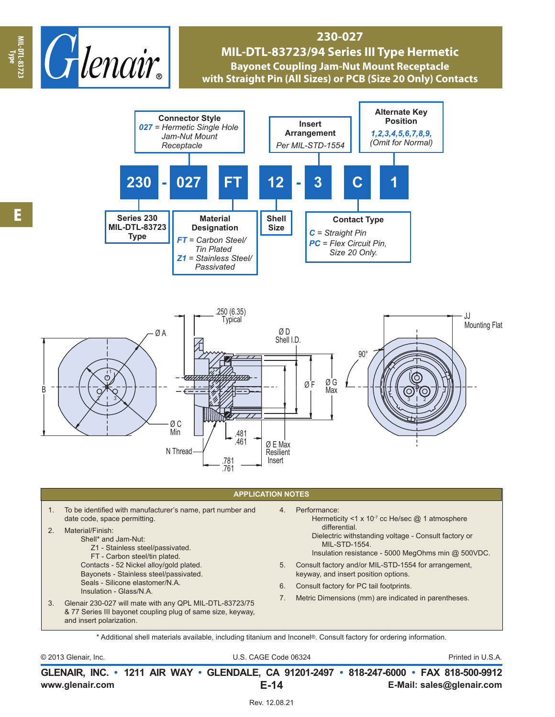

## **230-027 MIL-DTL-83723/94 Series III Type Hermetic Bayonet Coupling Jam-Nut Mount Receptacle with Straight Pin (All Sizes) or PCB (Size 20 Only) Contacts**





## **APPLICATION NOTES**

1. To be identified with manufacturer's name, part number and date code, space permitting. 2. Material/Finish: Shell\* and Jam-Nut: Z1 - Stainless steel/passivated. FT - Carbon steel/tin plated. Contacts - 52 Nickel alloy/gold plated. Bayonets - Stainless steel/passivated. Seals - Silicone elastomer/N.A. Insulation - Glass/N.A. 3. Glenair 230-027 will mate with any QPL MIL-DTL-83723/75 & 77 Series III bayonet coupling plug of same size, keyway, and insert polarization. 4. Performance: Hermeticity <1 x 10 $7$  cc He/sec  $@$  1 atmosphere differential. Dielectric withstanding voltage - Consult factory or MIL-STD-1554. Insulation resistance - 5000 MegOhms min @ 500VDC. 5. Consult factory and/or MIL-STD-1554 for arrangement, keyway, and insert position options. 6. Consult factory for PC tail footprints. 7. Metric Dimensions (mm) are indicated in parentheses.

\* Additional shell materials available, including titanium and Inconel®. Consult factory for ordering information.

© 2013 Glenair, Inc. U.S. CAGE Code 06324 Printed in U.S.A.

**www.glenair.com E-Mail: sales@glenair.com GLENAIR, INC. • 1211 AIR WAY • GLENDALE, CA 91201-2497 • 818-247-6000 • FAX 818-500-9912 E-14**

**Type**